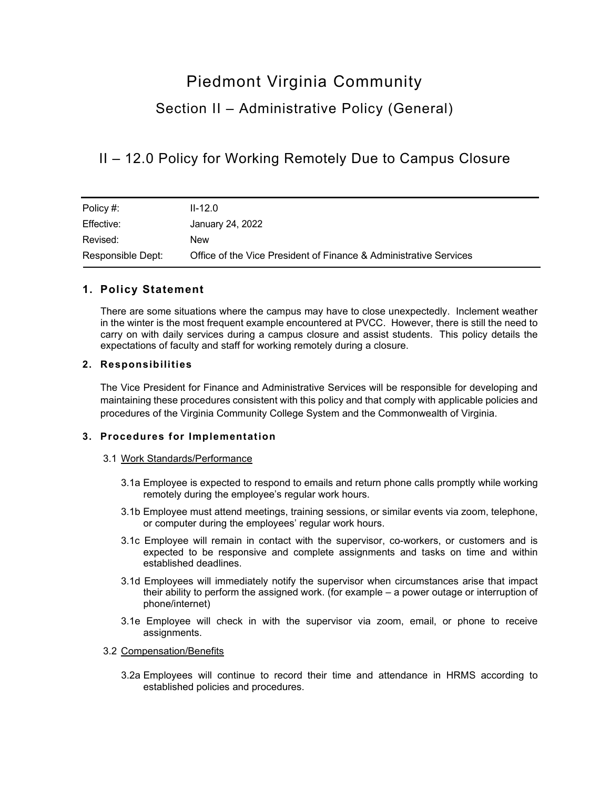# Piedmont Virginia Community Section II – Administrative Policy (General)

II – 12.0 Policy for Working Remotely Due to Campus Closure

| Policy #:         | $II-12.0$                                                         |
|-------------------|-------------------------------------------------------------------|
| Effective:        | January 24, 2022                                                  |
| Revised:          | New                                                               |
| Responsible Dept: | Office of the Vice President of Finance & Administrative Services |

## **1. Policy Statement**

There are some situations where the campus may have to close unexpectedly. Inclement weather in the winter is the most frequent example encountered at PVCC. However, there is still the need to carry on with daily services during a campus closure and assist students. This policy details the expectations of faculty and staff for working remotely during a closure.

## **2. Responsibilities**

The Vice President for Finance and Administrative Services will be responsible for developing and maintaining these procedures consistent with this policy and that comply with applicable policies and procedures of the Virginia Community College System and the Commonwealth of Virginia.

## **3. Procedures for Implementation**

## 3.1 Work Standards/Performance

- 3.1a Employee is expected to respond to emails and return phone calls promptly while working remotely during the employee's regular work hours.
- 3.1b Employee must attend meetings, training sessions, or similar events via zoom, telephone, or computer during the employees' regular work hours.
- 3.1c Employee will remain in contact with the supervisor, co-workers, or customers and is expected to be responsive and complete assignments and tasks on time and within established deadlines.
- 3.1d Employees will immediately notify the supervisor when circumstances arise that impact their ability to perform the assigned work. (for example – a power outage or interruption of phone/internet)
- 3.1e Employee will check in with the supervisor via zoom, email, or phone to receive assignments.

#### 3.2 Compensation/Benefits

3.2a Employees will continue to record their time and attendance in HRMS according to established policies and procedures.